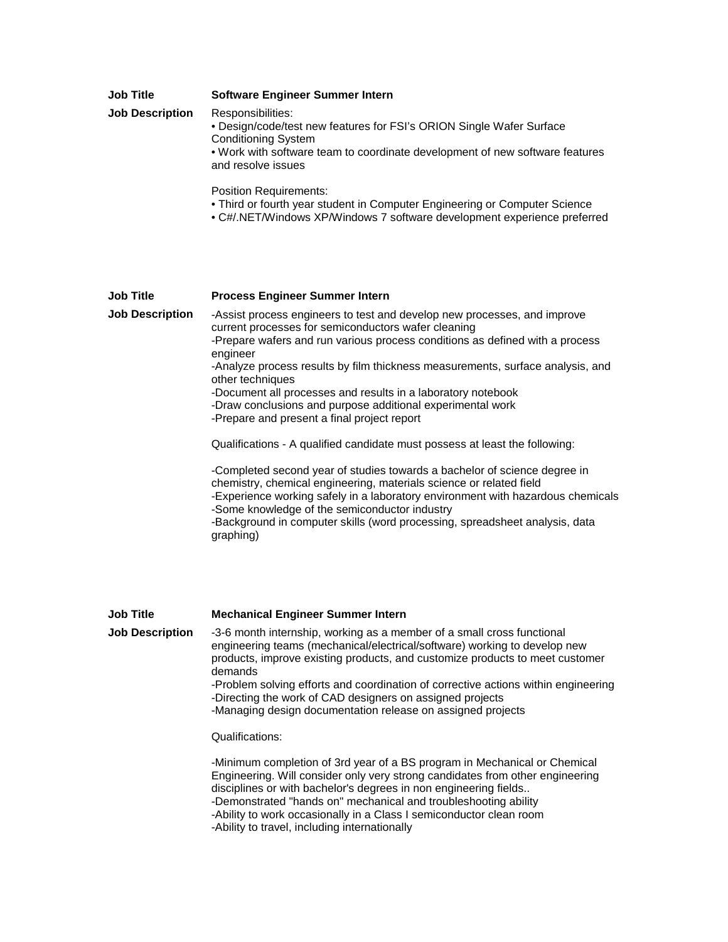| Job Title              | <b>Software Engineer Summer Intern</b>                                                                                                                                                                                        |
|------------------------|-------------------------------------------------------------------------------------------------------------------------------------------------------------------------------------------------------------------------------|
| <b>Job Description</b> | Responsibilities:<br>• Design/code/test new features for FSI's ORION Single Wafer Surface<br><b>Conditioning System</b><br>. Work with software team to coordinate development of new software features<br>and resolve issues |
|                        |                                                                                                                                                                                                                               |

Position Requirements:

- Third or fourth year student in Computer Engineering or Computer Science
- C#/.NET/Windows XP/Windows 7 software development experience preferred

## **Job Title Process Engineer Summer Intern**

**Job Description** -Assist process engineers to test and develop new processes, and improve current processes for semiconductors wafer cleaning

-Prepare wafers and run various process conditions as defined with a process engineer

-Analyze process results by film thickness measurements, surface analysis, and other techniques

-Document all processes and results in a laboratory notebook

-Draw conclusions and purpose additional experimental work

-Prepare and present a final project report

Qualifications - A qualified candidate must possess at least the following:

-Completed second year of studies towards a bachelor of science degree in chemistry, chemical engineering, materials science or related field -Experience working safely in a laboratory environment with hazardous chemicals -Some knowledge of the semiconductor industry -Background in computer skills (word processing, spreadsheet analysis, data graphing)

**Job Title Mechanical Engineer Summer Intern**

**Job Description** -3-6 month internship, working as a member of a small cross functional engineering teams (mechanical/electrical/software) working to develop new products, improve existing products, and customize products to meet customer demands -Problem solving efforts and coordination of corrective actions within engineering -Directing the work of CAD designers on assigned projects

-Managing design documentation release on assigned projects

Qualifications:

-Minimum completion of 3rd year of a BS program in Mechanical or Chemical Engineering. Will consider only very strong candidates from other engineering disciplines or with bachelor's degrees in non engineering fields.. -Demonstrated "hands on" mechanical and troubleshooting ability -Ability to work occasionally in a Class I semiconductor clean room -Ability to travel, including internationally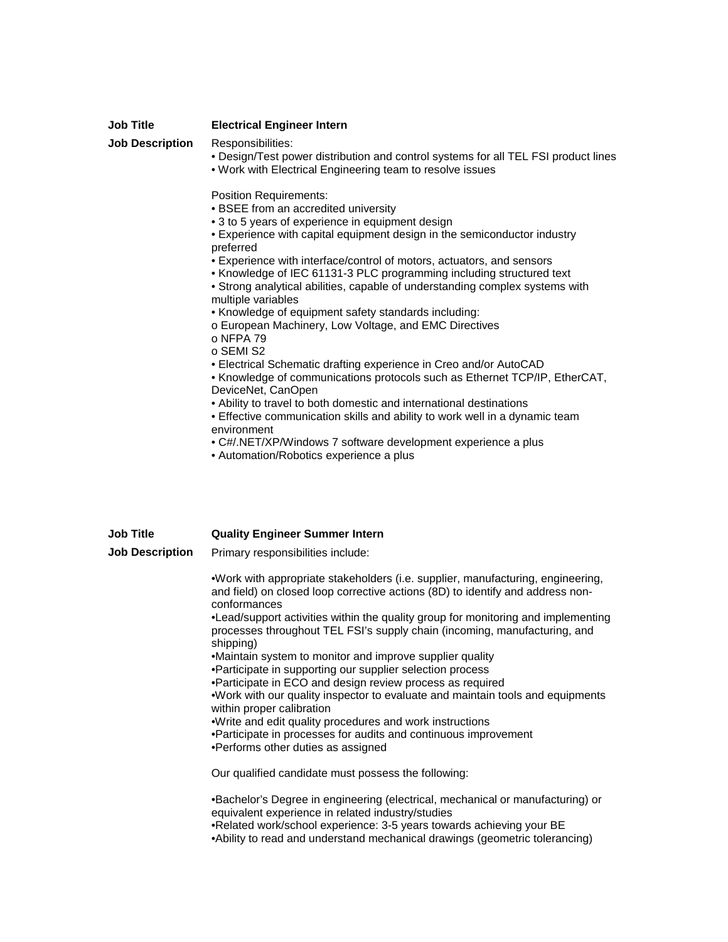| <b>Job Title</b>                           | <b>Electrical Engineer Intern</b>                                                                                                                                                                                                                                                                                                                                                                                                                                                                                                                                                                                                                                                                                                                                                                                                                                                                                                                                                                                                                                                                                                                                                               |
|--------------------------------------------|-------------------------------------------------------------------------------------------------------------------------------------------------------------------------------------------------------------------------------------------------------------------------------------------------------------------------------------------------------------------------------------------------------------------------------------------------------------------------------------------------------------------------------------------------------------------------------------------------------------------------------------------------------------------------------------------------------------------------------------------------------------------------------------------------------------------------------------------------------------------------------------------------------------------------------------------------------------------------------------------------------------------------------------------------------------------------------------------------------------------------------------------------------------------------------------------------|
| <b>Job Description</b>                     | Responsibilities:<br>. Design/Test power distribution and control systems for all TEL FSI product lines<br>. Work with Electrical Engineering team to resolve issues                                                                                                                                                                                                                                                                                                                                                                                                                                                                                                                                                                                                                                                                                                                                                                                                                                                                                                                                                                                                                            |
|                                            | <b>Position Requirements:</b><br>• BSEE from an accredited university<br>• 3 to 5 years of experience in equipment design<br>• Experience with capital equipment design in the semiconductor industry<br>preferred<br>• Experience with interface/control of motors, actuators, and sensors<br>• Knowledge of IEC 61131-3 PLC programming including structured text<br>• Strong analytical abilities, capable of understanding complex systems with<br>multiple variables<br>• Knowledge of equipment safety standards including:<br>o European Machinery, Low Voltage, and EMC Directives<br>o NFPA 79<br>o SEMI S2<br>• Electrical Schematic drafting experience in Creo and/or AutoCAD<br>. Knowledge of communications protocols such as Ethernet TCP/IP, EtherCAT,<br>DeviceNet, CanOpen<br>• Ability to travel to both domestic and international destinations<br>• Effective communication skills and ability to work well in a dynamic team<br>environment<br>• C#/.NET/XP/Windows 7 software development experience a plus<br>• Automation/Robotics experience a plus                                                                                                                  |
| <b>Job Title</b><br><b>Job Description</b> | <b>Quality Engineer Summer Intern</b><br>Primary responsibilities include:                                                                                                                                                                                                                                                                                                                                                                                                                                                                                                                                                                                                                                                                                                                                                                                                                                                                                                                                                                                                                                                                                                                      |
|                                            | .Work with appropriate stakeholders (i.e. supplier, manufacturing, engineering,<br>and field) on closed loop corrective actions (8D) to identify and address non-<br>conformances<br>•Lead/support activities within the quality group for monitoring and implementing<br>processes throughout TEL FSI's supply chain (incoming, manufacturing, and<br>shipping)<br>•Maintain system to monitor and improve supplier quality<br>•Participate in supporting our supplier selection process<br>•Participate in ECO and design review process as required<br>.Work with our quality inspector to evaluate and maintain tools and equipments<br>within proper calibration<br>.Write and edit quality procedures and work instructions<br>•Participate in processes for audits and continuous improvement<br>•Performs other duties as assigned<br>Our qualified candidate must possess the following:<br>•Bachelor's Degree in engineering (electrical, mechanical or manufacturing) or<br>equivalent experience in related industry/studies<br>•Related work/school experience: 3-5 years towards achieving your BE<br>•Ability to read and understand mechanical drawings (geometric tolerancing) |